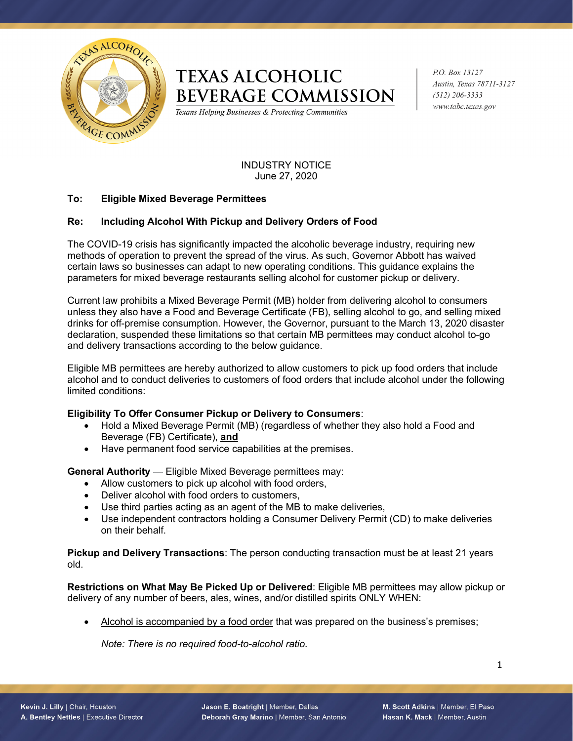

# **TEXAS ALCOHOLIC BEVERAGE COMMISSION**

Texans Helping Businesses & Protecting Communities

P.O. Box 13127 Austin, Texas 78711-3127  $(512)$  206-3333 www.tabc.texas.gov

INDUSTRY NOTICE June 27, 2020

## **To: Eligible Mixed Beverage Permittees**

## **Re: Including Alcohol With Pickup and Delivery Orders of Food**

The COVID-19 crisis has significantly impacted the alcoholic beverage industry, requiring new methods of operation to prevent the spread of the virus. As such, Governor Abbott has waived certain laws so businesses can adapt to new operating conditions. This guidance explains the parameters for mixed beverage restaurants selling alcohol for customer pickup or delivery.

Current law prohibits a Mixed Beverage Permit (MB) holder from delivering alcohol to consumers unless they also have a Food and Beverage Certificate (FB), selling alcohol to go, and selling mixed drinks for off-premise consumption. However, the Governor, pursuant to the March 13, 2020 disaster declaration, suspended these limitations so that certain MB permittees may conduct alcohol to-go and delivery transactions according to the below guidance.

Eligible MB permittees are hereby authorized to allow customers to pick up food orders that include alcohol and to conduct deliveries to customers of food orders that include alcohol under the following limited conditions:

#### **Eligibility To Offer Consumer Pickup or Delivery to Consumers**:

- Hold a Mixed Beverage Permit (MB) (regardless of whether they also hold a Food and Beverage (FB) Certificate), **and**
- Have permanent food service capabilities at the premises.

**General Authority** — Eligible Mixed Beverage permittees may:

- Allow customers to pick up alcohol with food orders,
- Deliver alcohol with food orders to customers,
- Use third parties acting as an agent of the MB to make deliveries,
- Use independent contractors holding a Consumer Delivery Permit (CD) to make deliveries on their behalf.

**Pickup and Delivery Transactions**: The person conducting transaction must be at least 21 years old.

**Restrictions on What May Be Picked Up or Delivered**: Eligible MB permittees may allow pickup or delivery of any number of beers, ales, wines, and/or distilled spirits ONLY WHEN:

• Alcohol is accompanied by a food order that was prepared on the business's premises;

*Note: There is no required food-to-alcohol ratio.*